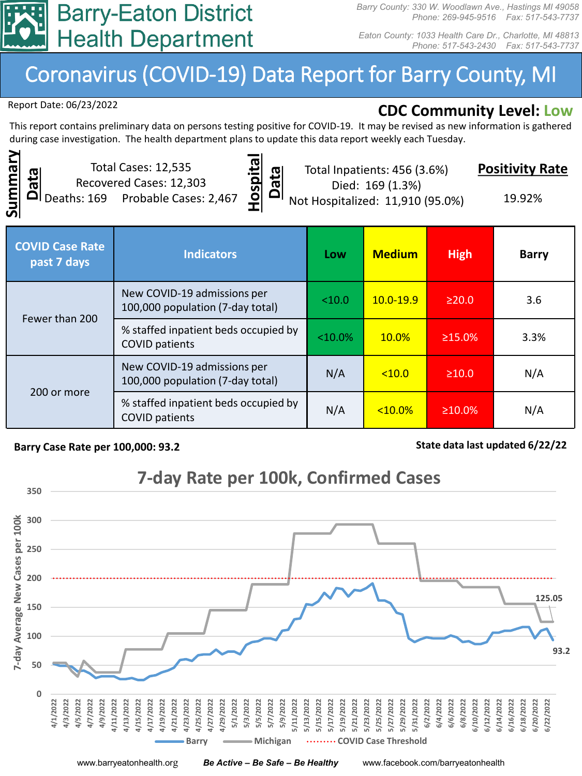

*Barry County: 330 W. Woodlawn Ave., Hastings MI 49058 Phone: 269-945-9516 Fax: 517-543-7737*

*Eaton County: 1033 Health Care Dr., Charlotte, MI 48813 Phone: 517-543-2430 Fax: 517-543-7737*

## Coronavirus (COVID-19) Data Report for Barry County, MI

Report Date: 06/23/2022

## **CDC Community Level: Low**

This report contains preliminary data on persons testing positive for COVID-19. It may be revised as new information is gathered during case investigation. The health department plans to update this data report weekly each Tuesday.



Total Cases: 12,535 Recovered Cases: 12,303 Deaths: 169 Probable Cases: 2,467



Total Inpatients: 456 (3.6%) Died: 169 (1.3%)

**Positivity Rate**

Not Hospitalized: 11,910 (95.0%)

19.92%

| <b>COVID Case Rate</b><br>past 7 days | <b>Indicators</b>                                               | Low        | <b>Medium</b> | <b>High</b>   | <b>Barry</b> |
|---------------------------------------|-----------------------------------------------------------------|------------|---------------|---------------|--------------|
| Fewer than 200                        | New COVID-19 admissions per<br>100,000 population (7-day total) | < 10.0     | $10.0 - 19.9$ | $\geq$ 20.0   | 3.6          |
|                                       | % staffed inpatient beds occupied by<br><b>COVID patients</b>   | $< 10.0\%$ | 10.0%         | $\geq 15.0\%$ | 3.3%         |
| 200 or more                           | New COVID-19 admissions per<br>100,000 population (7-day total) | N/A        | < 10.0        | $\geq 10.0$   | N/A          |
|                                       | % staffed inpatient beds occupied by<br><b>COVID patients</b>   | N/A        | $<10.0\%$     | $\geq 10.0\%$ | N/A          |

## Barry Case Rate per 100,000: 93.2 **State data last updated 6/22/22** State data last updated 6/22/22



www.barryeatonhealth.org *Be Active – Be Safe – Be Healthy* www.facebook.com/barryeatonhealth